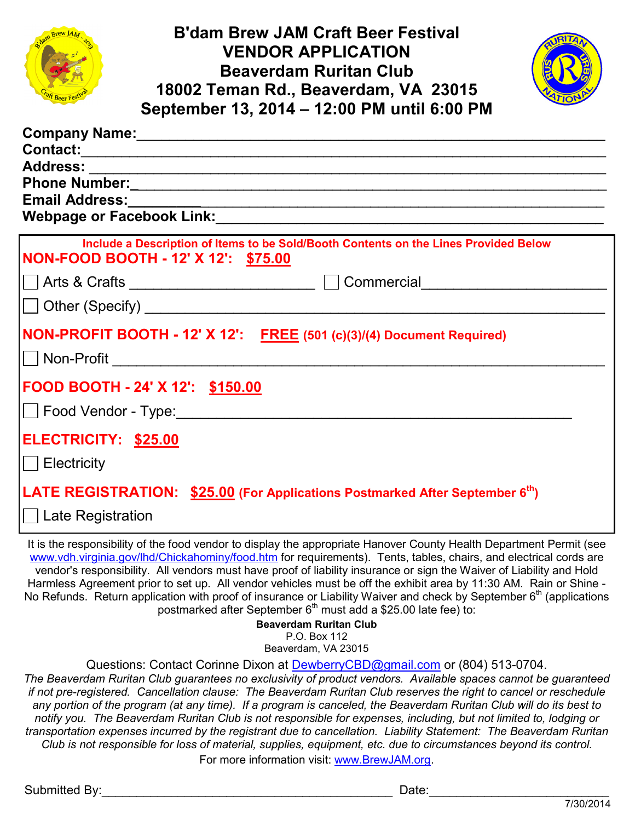

## **B'dam Brew JAM Craft Beer Festival VENDOR APPLICATION Beaverdam Ruritan Club 18002 Teman Rd., Beaverdam, VA 23015 September 13, 2014 – 12:00 PM until 6:00 PM**



| <b>Webpage or Facebook Link:</b> Webpage or Facebook Link:                                                                                                                                                                             |
|----------------------------------------------------------------------------------------------------------------------------------------------------------------------------------------------------------------------------------------|
| Include a Description of Items to be Sold/Booth Contents on the Lines Provided Below<br>NON-FOOD BOOTH - 12' X 12': \$75.00                                                                                                            |
| Commercial Commercial                                                                                                                                                                                                                  |
| Other (Specify)<br><u>Discrete and the contract of the contract of the contract of the contract of the contract of the contract of the contract of the contract of the contract of the contract of the contract of the contract of</u> |
| NON-PROFIT BOOTH - 12' X 12': FREE (501 (c)(3)/(4) Document Required)<br>Non-Profit                                                                                                                                                    |
| FOOD BOOTH - 24' X 12': \$150.00<br>  Food Vendor - Type:                                                                                                                                                                              |
| ELECTRICITY: \$25.00<br>$\vert$   Electricity                                                                                                                                                                                          |
| LATE REGISTRATION: \$25.00 (For Applications Postmarked After September 6th)<br>Late Registration                                                                                                                                      |

It is the responsibility of the food vendor to display the appropriate Hanover County Health Department Permit (see www.vdh.virginia.gov/lhd/Chickahominy/food.htm for requirements). Tents, tables, chairs, and electrical cords are vendor's responsibility. All vendors must have proof of liability insurance or sign the Waiver of Liability and Hold Harmless Agreement prior to set up. All vendor vehicles must be off the exhibit area by 11:30 AM. Rain or Shine - No Refunds. Return application with proof of insurance or Liability Waiver and check by September 6<sup>th</sup> (applications postmarked after September 6<sup>th</sup> must add a \$25.00 late fee) to:

> **Beaverdam Ruritan Club** P.O. Box 112 Beaverdam, VA 23015

Questions: Contact Corinne Dixon at [DewberryCBD@gmail.com](mailto:DewberryCBD@gmail.com) or (804) 513-0704.

*The Beaverdam Ruritan Club guarantees no exclusivity of product vendors. Available spaces cannot be guaranteed if not pre-registered. Cancellation clause: The Beaverdam Ruritan Club reserves the right to cancel or reschedule any portion of the program (at any time). If a program is canceled, the Beaverdam Ruritan Club will do its best to notify you. The Beaverdam Ruritan Club is not responsible for expenses, including, but not limited to, lodging or transportation expenses incurred by the registrant due to cancellation. Liability Statement: The Beaverdam Ruritan Club is not responsible for loss of material, supplies, equipment, etc. due to circumstances beyond its control.* For more information visit: www.BrewJAM.org.

Submitted By: The Contract of Submitted By: The Contract of Submitted By: